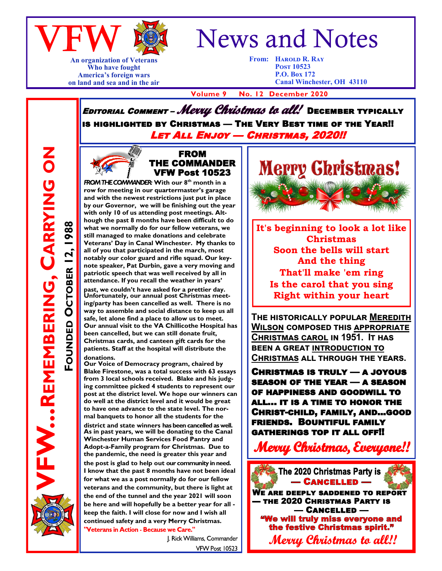

## **An organization of Veterans Who have fought America's foreign wars on land and sea and in the air**

## News and Notes

**From: Harold R. Ray Post 10523 P.O. Box 172 Canal Winchester, OH 43110**

 **Volume 9 No. 12 December 2020**

EDITORIAL COMMENT – Mevul Christmas to all! DECEMBER TYPICALLY is highlighted by Christmas — The Very Best time of the Year!! Let All Enjoy — Christmas, 2020!!

**FW...REMBERING, CARRYING ON** 

**FOUNDED**

**OCTOBER 12, 1988**

OCTOBER 12,

 $1988$ 

**REMEMBERING, CARRYING ON**



**FROM THE COMMANDER:** With our 8<sup>th</sup> month in a **row for meeting in our quartermaster's garage and with the newest restrictions just put in place by our Governor, we will be finishing out the year with only 10 of us attending post meetings. Although the past 8 months have been difficult to do what we normally do for our fellow veterans, we still managed to make donations and celebrate Veterans' Day in Canal Winchester. My thanks to all of you that participated in the march, most notably our color guard and rifle squad. Our keynote speaker, Pat Durbin, gave a very moving and patriotic speech that was well received by all in attendance. If you recall the weather in years' past, we couldn't have asked for a prettier day. Unfortunately, our annual post Christmas meeting/party has been cancelled as well. There is no way to assemble and social distance to keep us all safe, let alone find a place to allow us to meet. Our annual visit to the VA Chillicothe Hospital has been cancelled, but we can still donate fruit, Christmas cards, and canteen gift cards for the patients. Staff at the hospital will distribute the donations.**

**Our Voice of Democracy program, chaired by Blake Firestone, was a total success with 63 essays from 3 local schools received. Blake and his judging committee picked 4 students to represent our post at the district level. We hope our winners can do well at the district level and it would be great to have one advance to the state level. The normal banquets to honor all the students for the** 

**district and state winners has been cancelled as well. As in past years, we will be donating to the Canal Winchester Human Services Food Pantry and Adopt-a-Family program for Christmas. Due to the pandemic, the need is greater this year and the post is glad to help out our community in need. I know that the past 8 months have not been ideal for what we as a post normally do for our fellow veterans and the community, but there is light at the end of the tunnel and the year 2021 will soon be here and will hopefully be a better year for all keep the faith. I will close for now and I wish all continued safety and a very Merry Christmas.**  "Veterans in Action - Because we Care."

> J. Rick Williams, Commander VFW Post 10523



**It's beginning to look a lot like Christmas Soon the bells will start And the thing That'll make 'em ring Is the carol that you sing Right within your heart** 

**The historically popular Meredith Wilson composed this appropriate Christmas carol in 1951. It has been a great introduction to Christmas all through the years.**

Christmas is truly — a joyous season of the year — a season of happiness and goodwill to all… it is a time to honor the Christ-child, family, and...good friends. Bountiful family gatherings top it all off!!

Merru Christmas. Everuone!!